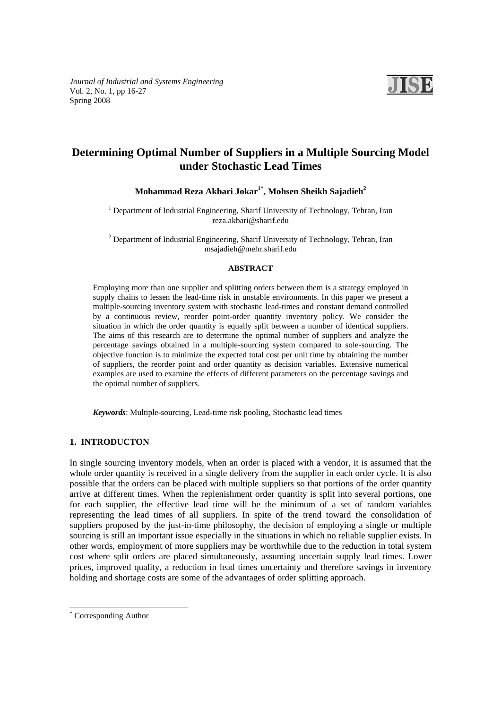*Journal of Industrial and Systems Engineering*  Vol. 2, No. 1, pp 16-27 Spring 2008



# **Determining Optimal Number of Suppliers in a Multiple Sourcing Model under Stochastic Lead Times**

Mohammad Reza Akbari Jokar<sup>1\*</sup>, Mohsen Sheikh Sajadieh<sup>2</sup>

<sup>1</sup> Department of Industrial Engineering, Sharif University of Technology, Tehran, Iran reza.akbari@sharif.edu

 $2^{2}$  Department of Industrial Engineering, Sharif University of Technology, Tehran, Iran msajadieh@mehr.sharif.edu

#### **ABSTRACT**

Employing more than one supplier and splitting orders between them is a strategy employed in supply chains to lessen the lead-time risk in unstable environments. In this paper we present a multiple-sourcing inventory system with stochastic lead-times and constant demand controlled by a continuous review, reorder point-order quantity inventory policy. We consider the situation in which the order quantity is equally split between a number of identical suppliers. The aims of this research are to determine the optimal number of suppliers and analyze the percentage savings obtained in a multiple-sourcing system compared to sole-sourcing. The objective function is to minimize the expected total cost per unit time by obtaining the number of suppliers, the reorder point and order quantity as decision variables. Extensive numerical examples are used to examine the effects of different parameters on the percentage savings and the optimal number of suppliers.

*Keywords*: Multiple-sourcing, Lead-time risk pooling, Stochastic lead times

# **1. INTRODUCTON**

In single sourcing inventory models, when an order is placed with a vendor, it is assumed that the whole order quantity is received in a single delivery from the supplier in each order cycle. It is also possible that the orders can be placed with multiple suppliers so that portions of the order quantity arrive at different times. When the replenishment order quantity is split into several portions, one for each supplier, the effective lead time will be the minimum of a set of random variables representing the lead times of all suppliers. In spite of the trend toward the consolidation of suppliers proposed by the just-in-time philosophy, the decision of employing a single or multiple sourcing is still an important issue especially in the situations in which no reliable supplier exists. In other words, employment of more suppliers may be worthwhile due to the reduction in total system cost where split orders are placed simultaneously, assuming uncertain supply lead times. Lower prices, improved quality, a reduction in lead times uncertainty and therefore savings in inventory holding and shortage costs are some of the advantages of order splitting approach.

l

<sup>\*</sup> Corresponding Author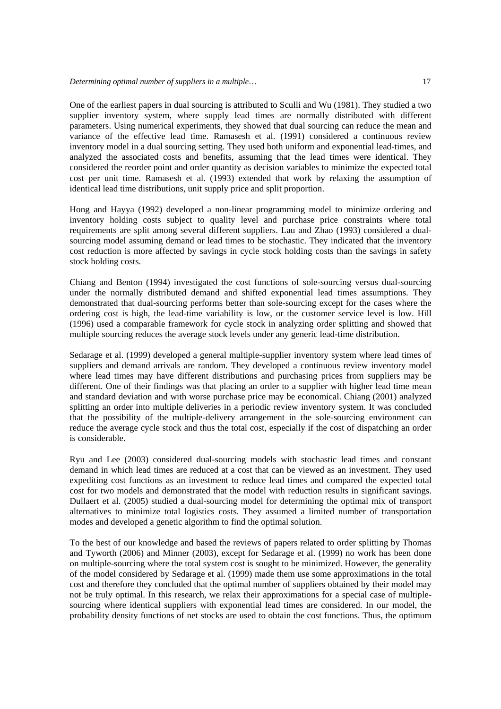One of the earliest papers in dual sourcing is attributed to Sculli and Wu (1981). They studied a two supplier inventory system, where supply lead times are normally distributed with different parameters. Using numerical experiments, they showed that dual sourcing can reduce the mean and variance of the effective lead time. Ramasesh et al. (1991) considered a continuous review inventory model in a dual sourcing setting. They used both uniform and exponential lead-times, and analyzed the associated costs and benefits, assuming that the lead times were identical. They considered the reorder point and order quantity as decision variables to minimize the expected total cost per unit time. Ramasesh et al. (1993) extended that work by relaxing the assumption of identical lead time distributions, unit supply price and split proportion.

Hong and Hayya (1992) developed a non-linear programming model to minimize ordering and inventory holding costs subject to quality level and purchase price constraints where total requirements are split among several different suppliers. Lau and Zhao (1993) considered a dualsourcing model assuming demand or lead times to be stochastic. They indicated that the inventory cost reduction is more affected by savings in cycle stock holding costs than the savings in safety stock holding costs.

Chiang and Benton (1994) investigated the cost functions of sole-sourcing versus dual-sourcing under the normally distributed demand and shifted exponential lead times assumptions. They demonstrated that dual-sourcing performs better than sole-sourcing except for the cases where the ordering cost is high, the lead-time variability is low, or the customer service level is low. Hill (1996) used a comparable framework for cycle stock in analyzing order splitting and showed that multiple sourcing reduces the average stock levels under any generic lead-time distribution.

Sedarage et al. (1999) developed a general multiple-supplier inventory system where lead times of suppliers and demand arrivals are random. They developed a continuous review inventory model where lead times may have different distributions and purchasing prices from suppliers may be different. One of their findings was that placing an order to a supplier with higher lead time mean and standard deviation and with worse purchase price may be economical. Chiang (2001) analyzed splitting an order into multiple deliveries in a periodic review inventory system. It was concluded that the possibility of the multiple-delivery arrangement in the sole-sourcing environment can reduce the average cycle stock and thus the total cost, especially if the cost of dispatching an order is considerable.

Ryu and Lee (2003) considered dual-sourcing models with stochastic lead times and constant demand in which lead times are reduced at a cost that can be viewed as an investment. They used expediting cost functions as an investment to reduce lead times and compared the expected total cost for two models and demonstrated that the model with reduction results in significant savings. Dullaert et al. (2005) studied a dual-sourcing model for determining the optimal mix of transport alternatives to minimize total logistics costs. They assumed a limited number of transportation modes and developed a genetic algorithm to find the optimal solution.

To the best of our knowledge and based the reviews of papers related to order splitting by Thomas and Tyworth (2006) and Minner (2003), except for Sedarage et al. (1999) no work has been done on multiple-sourcing where the total system cost is sought to be minimized. However, the generality of the model considered by Sedarage et al. (1999) made them use some approximations in the total cost and therefore they concluded that the optimal number of suppliers obtained by their model may not be truly optimal. In this research, we relax their approximations for a special case of multiplesourcing where identical suppliers with exponential lead times are considered. In our model, the probability density functions of net stocks are used to obtain the cost functions. Thus, the optimum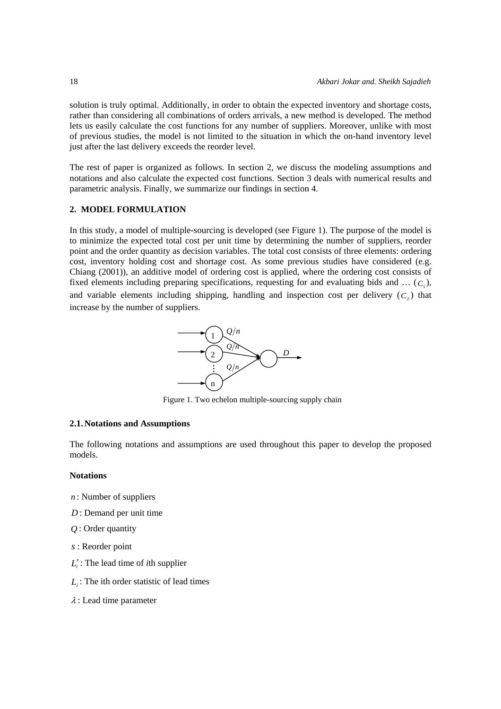solution is truly optimal. Additionally, in order to obtain the expected inventory and shortage costs, rather than considering all combinations of orders arrivals, a new method is developed. The method lets us easily calculate the cost functions for any number of suppliers. Moreover, unlike with most of previous studies, the model is not limited to the situation in which the on-hand inventory level just after the last delivery exceeds the reorder level.

The rest of paper is organized as follows. In section 2, we discuss the modeling assumptions and notations and also calculate the expected cost functions. Section 3 deals with numerical results and parametric analysis. Finally, we summarize our findings in section 4.

# **2. MODEL FORMULATION**

In this study, a model of multiple-sourcing is developed (see Figure 1). The purpose of the model is to minimize the expected total cost per unit time by determining the number of suppliers, reorder point and the order quantity as decision variables. The total cost consists of three elements: ordering cost, inventory holding cost and shortage cost. As some previous studies have considered (e.g. Chiang (2001)), an additive model of ordering cost is applied, where the ordering cost consists of fixed elements including preparing specifications, requesting for and evaluating bids and  $\dots$  ( $C_1$ ), and variable elements including shipping, handling and inspection cost per delivery  $(C<sub>2</sub>)$  that increase by the number of suppliers.



Figure 1. Two echelon multiple-sourcing supply chain

## **2.1.Notations and Assumptions**

The following notations and assumptions are used throughout this paper to develop the proposed models.

# **Notations**

- *n* : Number of suppliers
- *D* : Demand per unit time
- *Q* : Order quantity
- *s* : Reorder point
- *Li* ′ : The lead time of *i*th supplier
- $L_i$ : The ith order statistic of lead times
- $\lambda$ : Lead time parameter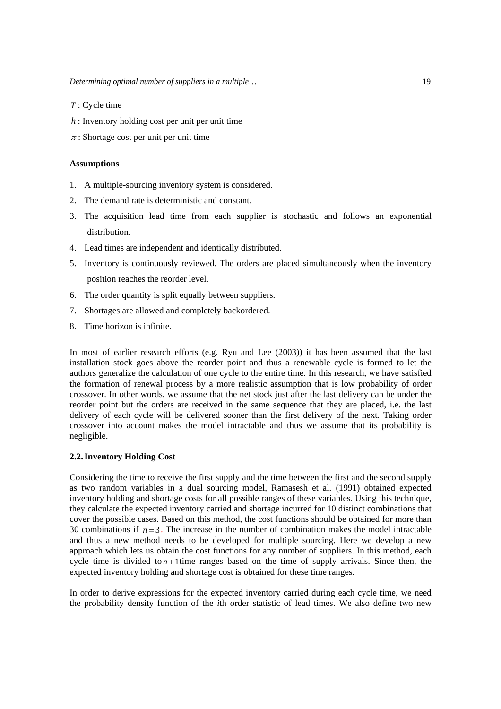- *T* : Cycle time
- $h$ : Inventory holding cost per unit per unit time
- $\pi$ : Shortage cost per unit per unit time

## **Assumptions**

- 1. A multiple-sourcing inventory system is considered.
- 2. The demand rate is deterministic and constant.
- 3. The acquisition lead time from each supplier is stochastic and follows an exponential distribution.
- 4. Lead times are independent and identically distributed.
- 5. Inventory is continuously reviewed. The orders are placed simultaneously when the inventory position reaches the reorder level.
- 6. The order quantity is split equally between suppliers.
- 7. Shortages are allowed and completely backordered.
- 8. Time horizon is infinite.

In most of earlier research efforts (e.g. Ryu and Lee (2003)) it has been assumed that the last installation stock goes above the reorder point and thus a renewable cycle is formed to let the authors generalize the calculation of one cycle to the entire time. In this research, we have satisfied the formation of renewal process by a more realistic assumption that is low probability of order crossover. In other words, we assume that the net stock just after the last delivery can be under the reorder point but the orders are received in the same sequence that they are placed, i.e. the last delivery of each cycle will be delivered sooner than the first delivery of the next. Taking order crossover into account makes the model intractable and thus we assume that its probability is negligible.

# **2.2.Inventory Holding Cost**

Considering the time to receive the first supply and the time between the first and the second supply as two random variables in a dual sourcing model, Ramasesh et al. (1991) obtained expected inventory holding and shortage costs for all possible ranges of these variables. Using this technique, they calculate the expected inventory carried and shortage incurred for 10 distinct combinations that cover the possible cases. Based on this method, the cost functions should be obtained for more than 30 combinations if  $n=3$ . The increase in the number of combination makes the model intractable and thus a new method needs to be developed for multiple sourcing. Here we develop a new approach which lets us obtain the cost functions for any number of suppliers. In this method, each cycle time is divided to  $n+1$  time ranges based on the time of supply arrivals. Since then, the expected inventory holding and shortage cost is obtained for these time ranges.

In order to derive expressions for the expected inventory carried during each cycle time, we need the probability density function of the *i*th order statistic of lead times. We also define two new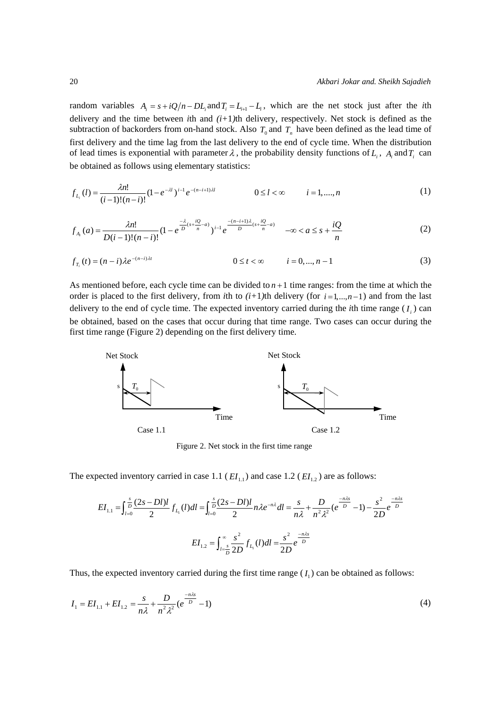random variables  $A_i = s + iQ/n - DL_i$  and  $T_i = L_{i+1} - L_i$ , which are the net stock just after the *i*th delivery and the time between *i*th and *(i+*1*)*th delivery, respectively. Net stock is defined as the subtraction of backorders from on-hand stock. Also  $T_0$  and  $T_n$  have been defined as the lead time of first delivery and the time lag from the last delivery to the end of cycle time. When the distribution of lead times is exponential with parameter  $\lambda$ , the probability density functions of  $L_i$ ,  $A_i$  and  $T_i$  can be obtained as follows using elementary statistics:

$$
f_{L_i}(l) = \frac{\lambda n!}{(i-1)!(n-i)!} (1 - e^{-\lambda l})^{i-1} e^{-(n-i+1)\lambda l} \qquad 0 \le l < \infty \qquad i = 1, ..., n
$$
 (1)

$$
f_{A_i}(a) = \frac{\lambda n!}{D(i-1)!(n-i)!} (1 - e^{\frac{-\lambda}{D}(s + \frac{iQ}{n} - a)})^{i-1} e^{\frac{-(n-i+1)\lambda}{D}(s + \frac{iQ}{n} - a)} \quad -\infty < a \le s + \frac{iQ}{n} \tag{2}
$$

$$
f_{T_i}(t) = (n-i)\lambda e^{-(n-i)\lambda t} \qquad \qquad 0 \le t < \infty \qquad i = 0, ..., n-1 \qquad (3)
$$

As mentioned before, each cycle time can be divided to  $n+1$  time ranges: from the time at which the order is placed to the first delivery, from *i*th to  $(i+1)$ th delivery (for  $i=1,...,n-1$ ) and from the last delivery to the end of cycle time. The expected inventory carried during the *i*th time range  $(I<sub>i</sub>)$  can be obtained, based on the cases that occur during that time range. Two cases can occur during the first time range (Figure 2) depending on the first delivery time.



Figure 2. Net stock in the first time range

The expected inventory carried in case 1.1 ( $EI_{11}$ ) and case 1.2 ( $EI_{12}$ ) are as follows:

$$
EI_{1.1} = \int_{l=0}^{s} \frac{(2s - Dl)l}{2} f_{L_1}(l) dl = \int_{l=0}^{s} \frac{(2s - Dl)l}{2} n \lambda e^{-n\lambda} dl = \frac{s}{n\lambda} + \frac{D}{n^2 \lambda^2} (e^{\frac{-n\lambda s}{D}} - 1) - \frac{s^2}{2D} e^{\frac{-n\lambda s}{D}}
$$

$$
EI_{1.2} = \int_{l=\frac{s}{D}}^{\infty} \frac{s^2}{2D} f_{L_1}(l) dl = \frac{s^2}{2D} e^{\frac{-n\lambda s}{D}}
$$

Thus, the expected inventory carried during the first time range  $(I_1)$  can be obtained as follows:

$$
I_1 = EI_{1.1} + EI_{1.2} = \frac{s}{n\lambda} + \frac{D}{n^2\lambda^2} (e^{\frac{-n\lambda s}{D}} - 1)
$$
 (4)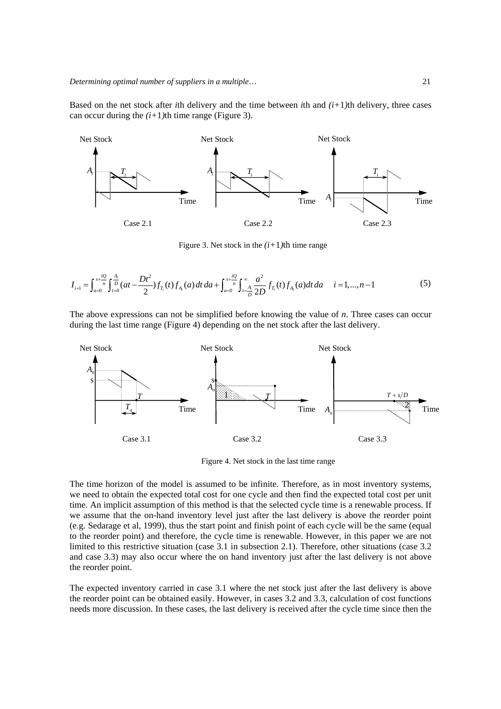Based on the net stock after *i*th delivery and the time between *i*th and  $(i+1)$ th delivery, three cases can occur during the  $(i+1)$ th time range (Figure 3).



Figure 3. Net stock in the  $(i+1)$ th time range

$$
I_{i+1} = \int_{a=0}^{s+\frac{iQ}{n}} \int_{t=0}^{\frac{A}{n}} (at - \frac{Dt^2}{2}) f_{T_i}(t) f_{A_i}(a) dt da + \int_{a=0}^{s+\frac{iQ}{n}} \int_{t=\frac{A}{D}}^{\infty} \frac{a^2}{2D} f_{T_i}(t) f_{A_i}(a) dt da \quad i = 1,...,n-1
$$
 (5)

The above expressions can not be simplified before knowing the value of *n*. Three cases can occur during the last time range (Figure 4) depending on the net stock after the last delivery.



Figure 4. Net stock in the last time range

The time horizon of the model is assumed to be infinite. Therefore, as in most inventory systems, we need to obtain the expected total cost for one cycle and then find the expected total cost per unit time. An implicit assumption of this method is that the selected cycle time is a renewable process. If we assume that the on-hand inventory level just after the last delivery is above the reorder point (e.g. Sedarage et al, 1999), thus the start point and finish point of each cycle will be the same (equal to the reorder point) and therefore, the cycle time is renewable. However, in this paper we are not limited to this restrictive situation (case 3.1 in subsection 2.1). Therefore, other situations (case 3.2 and case 3.3) may also occur where the on hand inventory just after the last delivery is not above the reorder point.

The expected inventory carried in case 3.1 where the net stock just after the last delivery is above the reorder point can be obtained easily. However, in cases 3.2 and 3.3, calculation of cost functions needs more discussion. In these cases, the last delivery is received after the cycle time since then the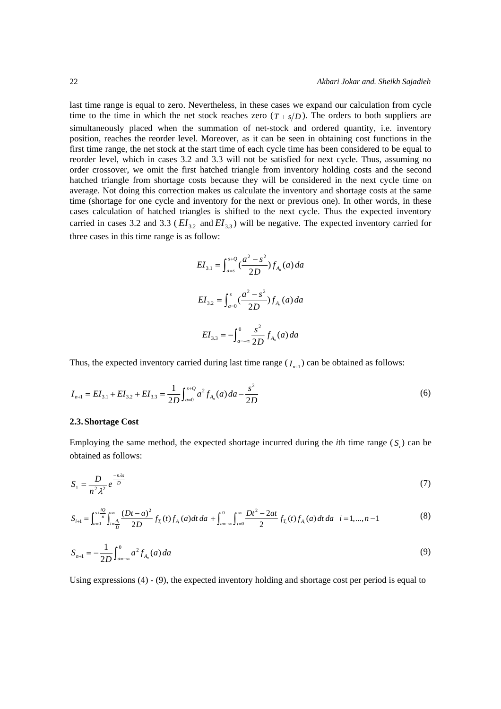last time range is equal to zero. Nevertheless, in these cases we expand our calculation from cycle time to the time in which the net stock reaches zero  $(T + s/D)$ . The orders to both suppliers are simultaneously placed when the summation of net-stock and ordered quantity, i.e. inventory position, reaches the reorder level. Moreover, as it can be seen in obtaining cost functions in the first time range, the net stock at the start time of each cycle time has been considered to be equal to reorder level, which in cases 3.2 and 3.3 will not be satisfied for next cycle. Thus, assuming no order crossover, we omit the first hatched triangle from inventory holding costs and the second hatched triangle from shortage costs because they will be considered in the next cycle time on average. Not doing this correction makes us calculate the inventory and shortage costs at the same time (shortage for one cycle and inventory for the next or previous one). In other words, in these cases calculation of hatched triangles is shifted to the next cycle. Thus the expected inventory carried in cases 3.2 and 3.3 ( $EI_{3,2}$  and  $EI_{3,3}$ ) will be negative. The expected inventory carried for three cases in this time range is as follow:

$$
EI_{3.1} = \int_{a=s}^{s+Q} \frac{a^2 - s^2}{2D} f_{A_n}(a) da
$$
  

$$
EI_{3.2} = \int_{a=0}^{s} \frac{a^2 - s^2}{2D} f_{A_n}(a) da
$$
  

$$
EI_{3.3} = -\int_{a=-\infty}^{0} \frac{s^2}{2D} f_{A_n}(a) da
$$

Thus, the expected inventory carried during last time range  $(I_{n+1})$  can be obtained as follows:

$$
I_{n+1} = EI_{3.1} + EI_{3.2} + EI_{3.3} = \frac{1}{2D} \int_{a=0}^{s+Q} a^2 f_{A_n}(a) da - \frac{s^2}{2D}
$$
 (6)

#### **2.3.Shortage Cost**

Employing the same method, the expected shortage incurred during the *i*th time range  $(S)$  can be obtained as follows:

$$
S_1 = \frac{D}{n^2 \lambda^2} e^{\frac{-n\lambda s}{D}} \tag{7}
$$

$$
S_{i+1} = \int_{a=0}^{s+\frac{iQ}{n}} \int_{t=\frac{A_i}{D}}^{\infty} \frac{(Dt-a)^2}{2D} f_{T_i}(t) f_{A_i}(a) dt \, da + \int_{a=-\infty}^{0} \int_{t=0}^{\infty} \frac{Dt^2 - 2at}{2} f_{T_i}(t) f_{A_i}(a) dt \, da \quad i = 1,...,n-1
$$
 (8)

$$
S_{n+1} = -\frac{1}{2D} \int_{a=-\infty}^{0} a^2 f_{A_n}(a) da
$$
 (9)

Using expressions (4) - (9), the expected inventory holding and shortage cost per period is equal to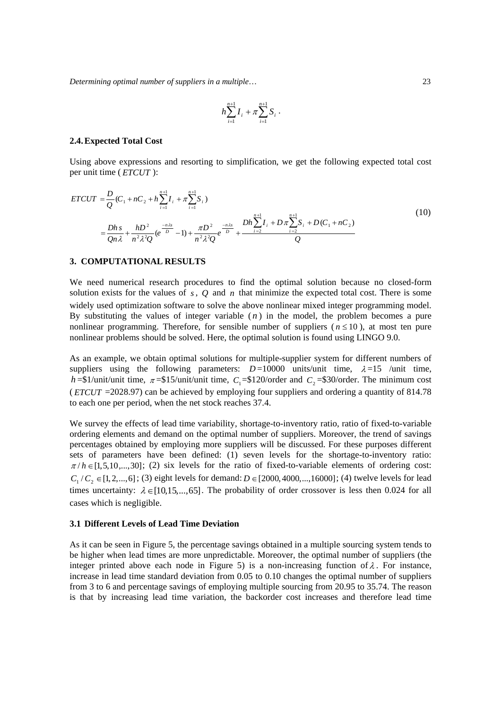*Determining optimal number of suppliers in a multiple*… 23

$$
h\sum_{i=1}^{n+1}I_i + \pi\sum_{i=1}^{n+1}S_i.
$$

#### **2.4.Expected Total Cost**

Using above expressions and resorting to simplification, we get the following expected total cost per unit time ( *ETCUT* ):

$$
ETCUT = \frac{D}{Q}(C_1 + nC_2 + h\sum_{i=1}^{n+1} I_i + \pi\sum_{i=1}^{n+1} S_i)
$$
  
=  $\frac{Dh}{Qn\lambda} + \frac{hD^2}{n^2\lambda^2 Q} (e^{\frac{-n\lambda s}{D}} - 1) + \frac{\pi D^2}{n^2\lambda^2 Q} e^{\frac{-n\lambda s}{D}} + \frac{Dh\sum_{i=2}^{n+1} I_i + D\pi\sum_{i=2}^{n+1} S_i + D(C_1 + nC_2)}{Q}$  (10)

### **3. COMPUTATIONAL RESULTS**

We need numerical research procedures to find the optimal solution because no closed-form solution exists for the values of *s* , *Q* and *n* that minimize the expected total cost. There is some widely used optimization software to solve the above nonlinear mixed integer programming model. By substituting the values of integer variable  $(n)$  in the model, the problem becomes a pure nonlinear programming. Therefore, for sensible number of suppliers ( $n \leq 10$ ), at most ten pure nonlinear problems should be solved. Here, the optimal solution is found using LINGO 9.0.

As an example, we obtain optimal solutions for multiple-supplier system for different numbers of suppliers using the following parameters:  $D=10000$  units/unit time,  $\lambda=15$  /unit time, *h* =\$1/unit/unit time,  $\pi$  =\$15/unit/unit time,  $C_1$  =\$120/order and  $C_2$  =\$30/order. The minimum cost ( *ETCUT* =2028.97) can be achieved by employing four suppliers and ordering a quantity of 814.78 to each one per period, when the net stock reaches 37.4.

We survey the effects of lead time variability, shortage-to-inventory ratio, ratio of fixed-to-variable ordering elements and demand on the optimal number of suppliers. Moreover, the trend of savings percentages obtained by employing more suppliers will be discussed. For these purposes different sets of parameters have been defined: (1) seven levels for the shortage-to-inventory ratio:  $\pi/h \in [1, 5, 10, \ldots, 30]$ ; (2) six levels for the ratio of fixed-to-variable elements of ordering cost:  $C_1 / C_2 \in [1, 2, ..., 6]$ ; (3) eight levels for demand:  $D \in [2000, 4000, ..., 16000]$ ; (4) twelve levels for lead times uncertainty:  $\lambda \in [10, 15, ..., 65]$ . The probability of order crossover is less then 0.024 for all cases which is negligible.

#### **3.1 Different Levels of Lead Time Deviation**

As it can be seen in Figure 5, the percentage savings obtained in a multiple sourcing system tends to be higher when lead times are more unpredictable. Moreover, the optimal number of suppliers (the integer printed above each node in Figure 5) is a non-increasing function of  $\lambda$ . For instance, increase in lead time standard deviation from 0.05 to 0.10 changes the optimal number of suppliers from 3 to 6 and percentage savings of employing multiple sourcing from 20.95 to 35.74. The reason is that by increasing lead time variation, the backorder cost increases and therefore lead time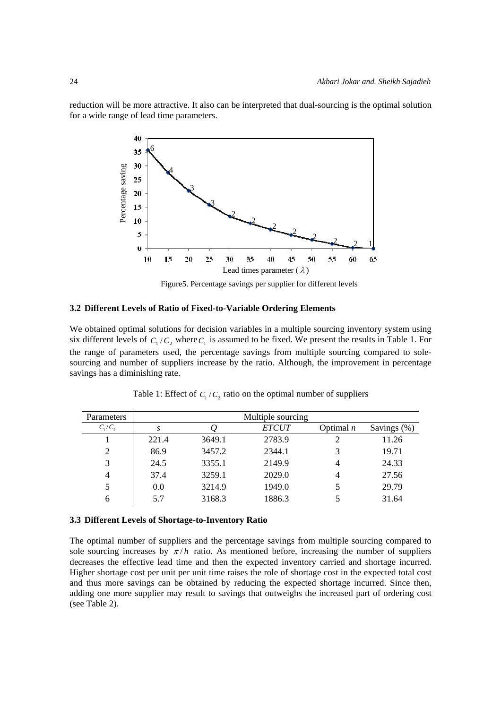reduction will be more attractive. It also can be interpreted that dual-sourcing is the optimal solution for a wide range of lead time parameters.



Figure5. Percentage savings per supplier for different levels

# **3.2 Different Levels of Ratio of Fixed-to-Variable Ordering Elements**

We obtained optimal solutions for decision variables in a multiple sourcing inventory system using six different levels of  $C_1 / C_2$  where  $C_1$  is assumed to be fixed. We present the results in Table 1. For the range of parameters used, the percentage savings from multiple sourcing compared to solesourcing and number of suppliers increase by the ratio. Although, the improvement in percentage savings has a diminishing rate.

| Parameters     | Multiple sourcing |        |              |             |                |  |  |
|----------------|-------------------|--------|--------------|-------------|----------------|--|--|
| $C_1/C_2$      | S                 |        | <i>ETCUT</i> | Optimal $n$ | Savings $(\%)$ |  |  |
|                | 221.4             | 3649.1 | 2783.9       |             | 11.26          |  |  |
| 2              | 86.9              | 3457.2 | 2344.1       | 3           | 19.71          |  |  |
| 3              | 24.5              | 3355.1 | 2149.9       | 4           | 24.33          |  |  |
| $\overline{4}$ | 37.4              | 3259.1 | 2029.0       | 4           | 27.56          |  |  |
| 5              | 0.0               | 3214.9 | 1949.0       |             | 29.79          |  |  |
| 6              | 5.7               | 3168.3 | 1886.3       |             | 31.64          |  |  |

Table 1: Effect of  $C_1 / C_2$  ratio on the optimal number of suppliers

#### **3.3 Different Levels of Shortage-to-Inventory Ratio**

The optimal number of suppliers and the percentage savings from multiple sourcing compared to sole sourcing increases by  $\pi/h$  ratio. As mentioned before, increasing the number of suppliers decreases the effective lead time and then the expected inventory carried and shortage incurred. Higher shortage cost per unit per unit time raises the role of shortage cost in the expected total cost and thus more savings can be obtained by reducing the expected shortage incurred. Since then, adding one more supplier may result to savings that outweighs the increased part of ordering cost (see Table 2).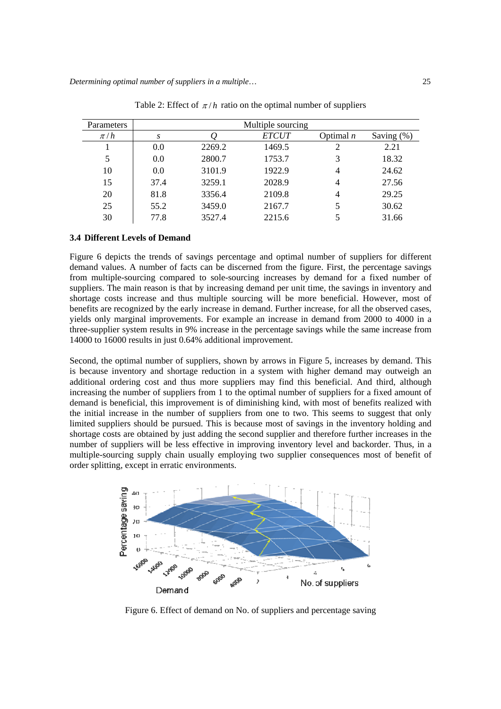| <b>Parameters</b> | Multiple sourcing |        |              |                |               |  |  |
|-------------------|-------------------|--------|--------------|----------------|---------------|--|--|
| $\pi/h$           | S                 |        | <b>ETCUT</b> | Optimal $n$    | Saving $(\%)$ |  |  |
|                   | 0.0               | 2269.2 | 1469.5       | 2              | 2.21          |  |  |
| 5                 | 0.0               | 2800.7 | 1753.7       | 3              | 18.32         |  |  |
| 10                | 0.0               | 3101.9 | 1922.9       | 4              | 24.62         |  |  |
| 15                | 37.4              | 3259.1 | 2028.9       | 4              | 27.56         |  |  |
| 20                | 81.8              | 3356.4 | 2109.8       | $\overline{4}$ | 29.25         |  |  |
| 25                | 55.2              | 3459.0 | 2167.7       | 5              | 30.62         |  |  |
| 30                | 77.8              | 3527.4 | 2215.6       |                | 31.66         |  |  |

Table 2: Effect of  $\pi/h$  ratio on the optimal number of suppliers

# **3.4 Different Levels of Demand**

Figure 6 depicts the trends of savings percentage and optimal number of suppliers for different demand values. A number of facts can be discerned from the figure. First, the percentage savings from multiple-sourcing compared to sole-sourcing increases by demand for a fixed number of suppliers. The main reason is that by increasing demand per unit time, the savings in inventory and shortage costs increase and thus multiple sourcing will be more beneficial. However, most of benefits are recognized by the early increase in demand. Further increase, for all the observed cases, yields only marginal improvements. For example an increase in demand from 2000 to 4000 in a three-supplier system results in 9% increase in the percentage savings while the same increase from 14000 to 16000 results in just 0.64% additional improvement.

Second, the optimal number of suppliers, shown by arrows in Figure 5, increases by demand. This is because inventory and shortage reduction in a system with higher demand may outweigh an additional ordering cost and thus more suppliers may find this beneficial. And third, although increasing the number of suppliers from 1 to the optimal number of suppliers for a fixed amount of demand is beneficial, this improvement is of diminishing kind, with most of benefits realized with the initial increase in the number of suppliers from one to two. This seems to suggest that only limited suppliers should be pursued. This is because most of savings in the inventory holding and shortage costs are obtained by just adding the second supplier and therefore further increases in the number of suppliers will be less effective in improving inventory level and backorder. Thus, in a multiple-sourcing supply chain usually employing two supplier consequences most of benefit of order splitting, except in erratic environments.



Figure 6. Effect of demand on No. of suppliers and percentage saving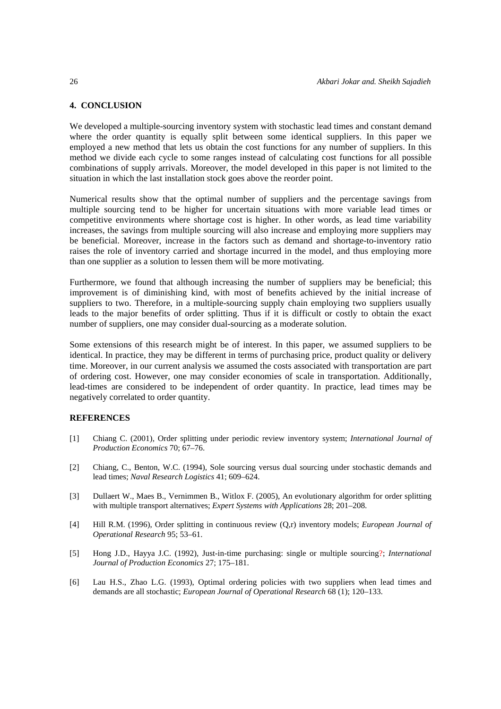# **4. CONCLUSION**

We developed a multiple-sourcing inventory system with stochastic lead times and constant demand where the order quantity is equally split between some identical suppliers. In this paper we employed a new method that lets us obtain the cost functions for any number of suppliers. In this method we divide each cycle to some ranges instead of calculating cost functions for all possible combinations of supply arrivals. Moreover, the model developed in this paper is not limited to the situation in which the last installation stock goes above the reorder point.

Numerical results show that the optimal number of suppliers and the percentage savings from multiple sourcing tend to be higher for uncertain situations with more variable lead times or competitive environments where shortage cost is higher. In other words, as lead time variability increases, the savings from multiple sourcing will also increase and employing more suppliers may be beneficial. Moreover, increase in the factors such as demand and shortage-to-inventory ratio raises the role of inventory carried and shortage incurred in the model, and thus employing more than one supplier as a solution to lessen them will be more motivating.

Furthermore, we found that although increasing the number of suppliers may be beneficial; this improvement is of diminishing kind, with most of benefits achieved by the initial increase of suppliers to two. Therefore, in a multiple-sourcing supply chain employing two suppliers usually leads to the major benefits of order splitting. Thus if it is difficult or costly to obtain the exact number of suppliers, one may consider dual-sourcing as a moderate solution.

Some extensions of this research might be of interest. In this paper, we assumed suppliers to be identical. In practice, they may be different in terms of purchasing price, product quality or delivery time. Moreover, in our current analysis we assumed the costs associated with transportation are part of ordering cost. However, one may consider economies of scale in transportation. Additionally, lead-times are considered to be independent of order quantity. In practice, lead times may be negatively correlated to order quantity.

## **REFERENCES**

- [1] Chiang C. (2001), Order splitting under periodic review inventory system; *International Journal of Production Economics* 70; 67–76.
- [2] Chiang, C., Benton, W.C. (1994), Sole sourcing versus dual sourcing under stochastic demands and lead times; *Naval Research Logistics* 41; 609–624.
- [3] Dullaert W., Maes B., Vernimmen B., Witlox F. (2005), An evolutionary algorithm for order splitting with multiple transport alternatives; *Expert Systems with Applications* 28; 201–208.
- [4] Hill R.M. (1996), Order splitting in continuous review (Q,r) inventory models; *European Journal of Operational Research* 95; 53–61.
- [5] Hong J.D., Hayya J.C. (1992), Just-in-time purchasing: single or multiple sourcing?; *International Journal of Production Economics* 27; 175–181.
- [6] Lau H.S., Zhao L.G. (1993), Optimal ordering policies with two suppliers when lead times and demands are all stochastic; *European Journal of Operational Research* 68 (1); 120–133.